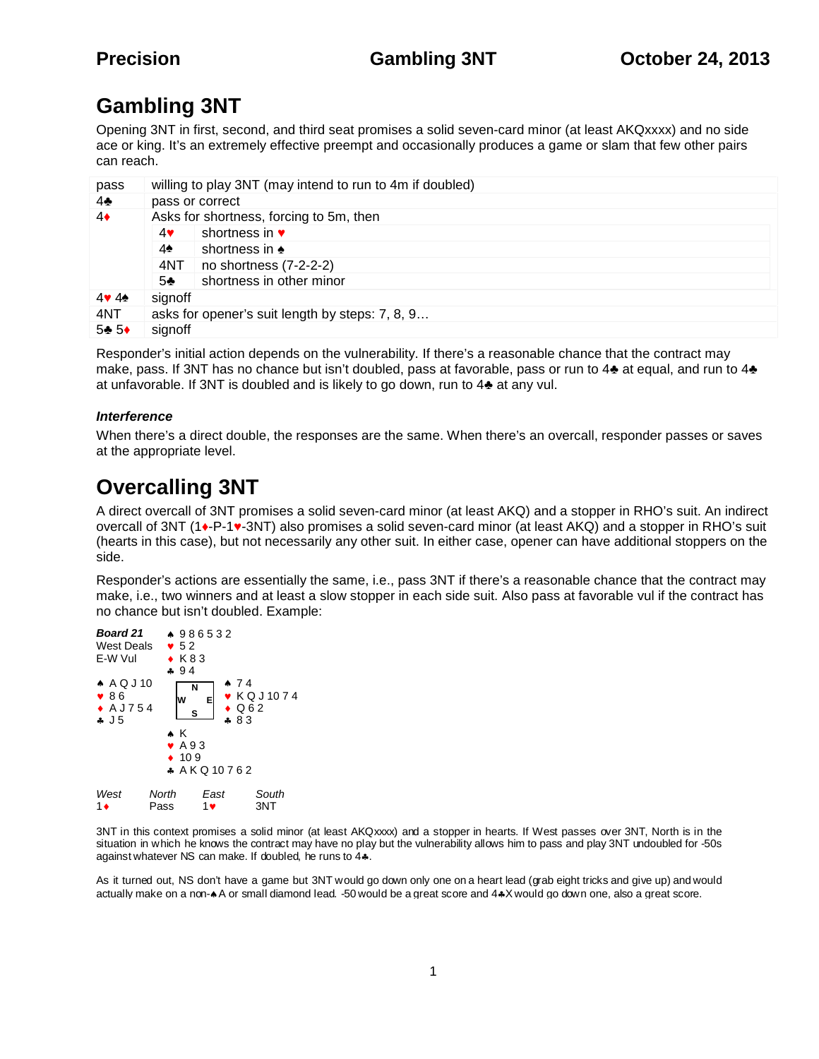# **Gambling 3NT**

Opening 3NT in first, second, and third seat promises a solid seven-card minor (at least AKQxxxx) and no side ace or king. It's an extremely effective preempt and occasionally produces a game or slam that few other pairs can reach.

| pass | willing to play 3NT (may intend to run to 4m if doubled) |                          |
|------|----------------------------------------------------------|--------------------------|
| 4    | pass or correct                                          |                          |
| 4    | Asks for shortness, forcing to 5m, then                  |                          |
|      | 4                                                        | shortness in             |
|      | 4                                                        | shortness in             |
|      | 4NT                                                      | no shortness (7-2-2-2)   |
|      | 5                                                        | shortness in other minor |
| 44   | signoff                                                  |                          |
| 4NT  | asks for opener's suit length by steps: 7, 8, 9          |                          |
| 5 5  | signoff                                                  |                          |

Responder's initial action depends on the vulnerability. If there's a reasonable chance that the contract may make, pass. If 3NT has no chance but isn't doubled, pass at favorable, pass or run to 4 at equal, and run to 4 at unfavorable. If 3NT is doubled and is likely to go down, run to 4 at any vul.

### *Interference*

When there's a direct double, the responses are the same. When there's an overcall, responder passes or saves at the appropriate level.

## **Overcalling 3NT**

A direct overcall of 3NT promises a solid seven-card minor (at least AKQ) and a stopper in RHO's suit. An indirect overcall of 3NT (1 -P-1 -3NT) also promises a solid seven-card minor (at least AKQ) and a stopper in RHO's suit (hearts in this case), but not necessarily any other suit. In either case, opener can have additional stoppers on the side.

Responder's actions are essentially the same, i.e., pass 3NT if there's a reasonable chance that the contract may make, i.e., two winners and at least a slow stopper in each side suit. Also pass at favorable vul if the contract has no chance but isn't doubled. Example:



3NT in this context promises a solid minor (at least AKQxxxx) and a stopper in hearts. If West passes over 3NT, North is in the situation in which he knows the contract may have no play but the vulnerability allows him to pass and play 3NT undoubled for -50s against whatever NS can make. If doubled, he runs to 4..

As it turned out, NS don't have a game but 3NT would go down only one on a heart lead (grab eight tricks and give up) and would actually make on a non- $\ast$  A or small diamond lead. -50 would be a great score and 4 $\ast$ X would go down one, also a great score.